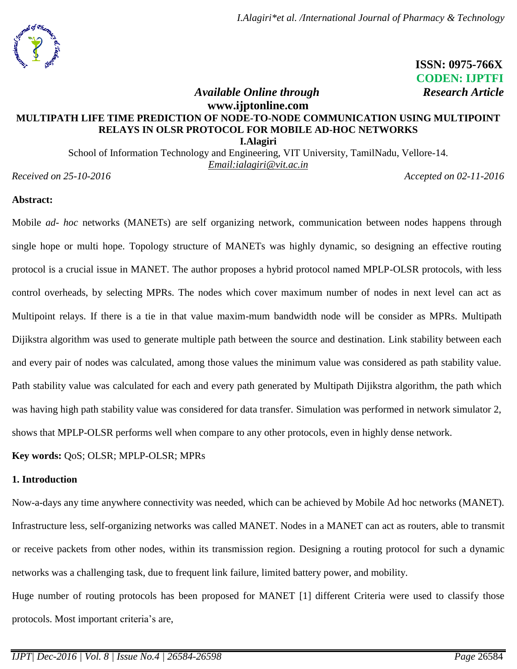

 **ISSN: 0975-766X CODEN: IJPTFI** *Available Online through* Research Article

# **[www.ijptonline.com](http://www.ijptonline.com/) MULTIPATH LIFE TIME PREDICTION OF NODE-TO-NODE COMMUNICATION USING MULTIPOINT RELAYS IN OLSR PROTOCOL FOR MOBILE AD-HOC NETWORKS I.Alagiri**

School of Information Technology and Engineering, VIT University, TamilNadu, Vellore-14. *Email[:ialagiri@vit.ac.in](mailto:ialagiri@vit.ac.in)*

*Received on 25-10-2016 Accepted on 02-11-2016*

### **Abstract:**

Mobile *ad- hoc* networks (MANETs) are self organizing network, communication between nodes happens through single hope or multi hope. Topology structure of MANETs was highly dynamic, so designing an effective routing protocol is a crucial issue in MANET. The author proposes a hybrid protocol named MPLP-OLSR protocols, with less control overheads, by selecting MPRs. The nodes which cover maximum number of nodes in next level can act as Multipoint relays. If there is a tie in that value maxim-mum bandwidth node will be consider as MPRs. Multipath Dijikstra algorithm was used to generate multiple path between the source and destination. Link stability between each and every pair of nodes was calculated, among those values the minimum value was considered as path stability value. Path stability value was calculated for each and every path generated by Multipath Dijikstra algorithm, the path which was having high path stability value was considered for data transfer. Simulation was performed in network simulator 2, shows that MPLP-OLSR performs well when compare to any other protocols, even in highly dense network.

**Key words:** QoS; OLSR; MPLP-OLSR; MPRs

#### **1. Introduction**

Now-a-days any time anywhere connectivity was needed, which can be achieved by Mobile Ad hoc networks (MANET). Infrastructure less, self-organizing networks was called MANET. Nodes in a MANET can act as routers, able to transmit or receive packets from other nodes, within its transmission region. Designing a routing protocol for such a dynamic networks was a challenging task, due to frequent link failure, limited battery power, and mobility.

Huge number of routing protocols has been proposed for MANET [1] different Criteria were used to classify those protocols. Most important criteria's are,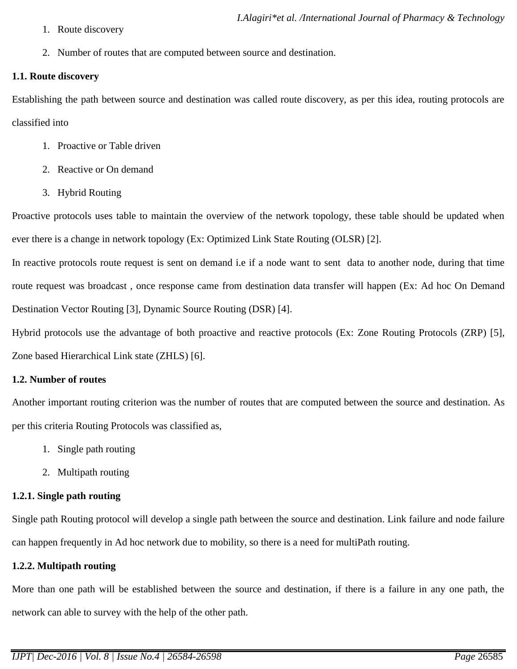- 1. Route discovery
- 2. Number of routes that are computed between source and destination.

#### **1.1. Route discovery**

Establishing the path between source and destination was called route discovery, as per this idea, routing protocols are classified into

- 1. Proactive or Table driven
- 2. Reactive or On demand
- 3. Hybrid Routing

Proactive protocols uses table to maintain the overview of the network topology, these table should be updated when ever there is a change in network topology (Ex: Optimized Link State Routing (OLSR) [2].

In reactive protocols route request is sent on demand i.e if a node want to sent data to another node, during that time route request was broadcast , once response came from destination data transfer will happen (Ex: Ad hoc On Demand Destination Vector Routing [3], Dynamic Source Routing (DSR) [4].

Hybrid protocols use the advantage of both proactive and reactive protocols (Ex: Zone Routing Protocols (ZRP) [5], Zone based Hierarchical Link state (ZHLS) [6].

#### **1.2. Number of routes**

Another important routing criterion was the number of routes that are computed between the source and destination. As per this criteria Routing Protocols was classified as,

- 1. Single path routing
- 2. Multipath routing

## **1.2.1. Single path routing**

Single path Routing protocol will develop a single path between the source and destination. Link failure and node failure can happen frequently in Ad hoc network due to mobility, so there is a need for multiPath routing.

## **1.2.2. Multipath routing**

More than one path will be established between the source and destination, if there is a failure in any one path, the network can able to survey with the help of the other path.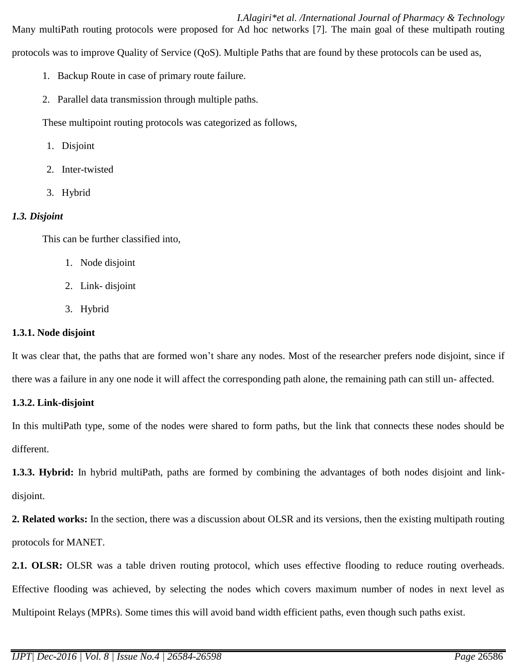### *I.Alagiri\*et al. /International Journal of Pharmacy & Technology*

Many multiPath routing protocols were proposed for Ad hoc networks [7]. The main goal of these multipath routing protocols was to improve Quality of Service (QoS). Multiple Paths that are found by these protocols can be used as,

- 1. Backup Route in case of primary route failure.
- 2. Parallel data transmission through multiple paths.

These multipoint routing protocols was categorized as follows,

- 1. Disjoint
- 2. Inter-twisted
- 3. Hybrid

# *1.3. Disjoint*

This can be further classified into,

- 1. Node disjoint
- 2. Link- disjoint
- 3. Hybrid

# **1.3.1. Node disjoint**

It was clear that, the paths that are formed won't share any nodes. Most of the researcher prefers node disjoint, since if there was a failure in any one node it will affect the corresponding path alone, the remaining path can still un- affected.

## **1.3.2. Link-disjoint**

In this multiPath type, some of the nodes were shared to form paths, but the link that connects these nodes should be different.

**1.3.3. Hybrid:** In hybrid multiPath, paths are formed by combining the advantages of both nodes disjoint and linkdisjoint.

**2. Related works:** In the section, there was a discussion about OLSR and its versions, then the existing multipath routing protocols for MANET.

**2.1. OLSR:** OLSR was a table driven routing protocol, which uses effective flooding to reduce routing overheads. Effective flooding was achieved, by selecting the nodes which covers maximum number of nodes in next level as Multipoint Relays (MPRs). Some times this will avoid band width efficient paths, even though such paths exist.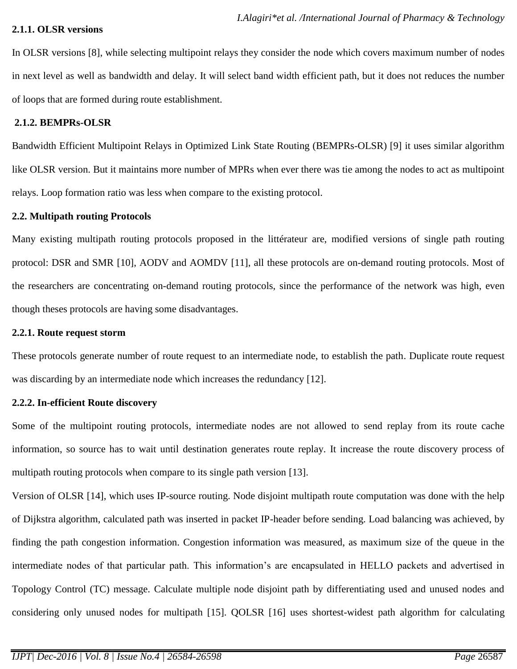#### **2.1.1. OLSR versions**

In OLSR versions [8], while selecting multipoint relays they consider the node which covers maximum number of nodes in next level as well as bandwidth and delay. It will select band width efficient path, but it does not reduces the number of loops that are formed during route establishment.

#### **2.1.2. BEMPRs-OLSR**

Bandwidth Efficient Multipoint Relays in Optimized Link State Routing (BEMPRs-OLSR) [9] it uses similar algorithm like OLSR version. But it maintains more number of MPRs when ever there was tie among the nodes to act as multipoint relays. Loop formation ratio was less when compare to the existing protocol.

#### **2.2. Multipath routing Protocols**

Many existing multipath routing protocols proposed in the littérateur are, modified versions of single path routing protocol: DSR and SMR [10], AODV and AOMDV [11], all these protocols are on-demand routing protocols. Most of the researchers are concentrating on-demand routing protocols, since the performance of the network was high, even though theses protocols are having some disadvantages.

### **2.2.1. Route request storm**

These protocols generate number of route request to an intermediate node, to establish the path. Duplicate route request was discarding by an intermediate node which increases the redundancy [12].

## **2.2.2. In-efficient Route discovery**

Some of the multipoint routing protocols, intermediate nodes are not allowed to send replay from its route cache information, so source has to wait until destination generates route replay. It increase the route discovery process of multipath routing protocols when compare to its single path version [13].

Version of OLSR [14], which uses IP-source routing. Node disjoint multipath route computation was done with the help of Dijkstra algorithm, calculated path was inserted in packet IP-header before sending. Load balancing was achieved, by finding the path congestion information. Congestion information was measured, as maximum size of the queue in the intermediate nodes of that particular path. This information's are encapsulated in HELLO packets and advertised in Topology Control (TC) message. Calculate multiple node disjoint path by differentiating used and unused nodes and considering only unused nodes for multipath [15]. QOLSR [16] uses shortest-widest path algorithm for calculating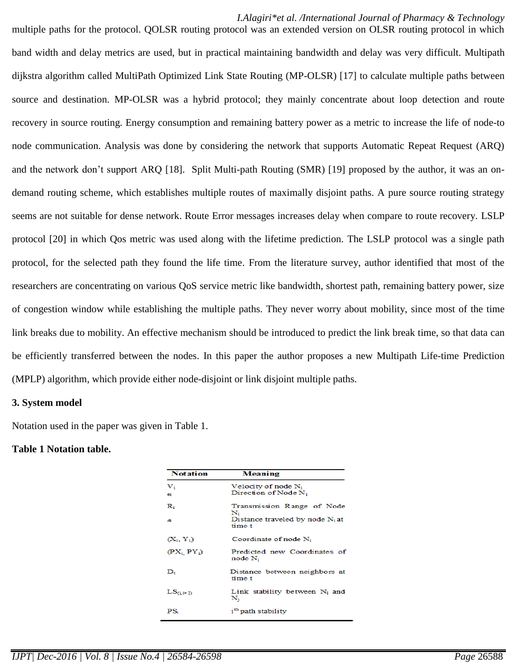#### *I.Alagiri\*et al. /International Journal of Pharmacy & Technology*

multiple paths for the protocol. QOLSR routing protocol was an extended version on OLSR routing protocol in which band width and delay metrics are used, but in practical maintaining bandwidth and delay was very difficult. Multipath dijkstra algorithm called MultiPath Optimized Link State Routing (MP-OLSR) [17] to calculate multiple paths between source and destination. MP-OLSR was a hybrid protocol; they mainly concentrate about loop detection and route recovery in source routing. Energy consumption and remaining battery power as a metric to increase the life of node-to node communication. Analysis was done by considering the network that supports Automatic Repeat Request (ARQ) and the network don't support ARQ [18]. Split Multi-path Routing (SMR) [19] proposed by the author, it was an ondemand routing scheme, which establishes multiple routes of maximally disjoint paths. A pure source routing strategy seems are not suitable for dense network. Route Error messages increases delay when compare to route recovery. LSLP protocol [20] in which Qos metric was used along with the lifetime prediction. The LSLP protocol was a single path protocol, for the selected path they found the life time. From the literature survey, author identified that most of the researchers are concentrating on various QoS service metric like bandwidth, shortest path, remaining battery power, size of congestion window while establishing the multiple paths. They never worry about mobility, since most of the time link breaks due to mobility. An effective mechanism should be introduced to predict the link break time, so that data can be efficiently transferred between the nodes. In this paper the author proposes a new Multipath Life-time Prediction (MPLP) algorithm, which provide either node-disjoint or link disjoint multiple paths.

#### **3. System model**

Notation used in the paper was given in Table 1.

#### **Table 1 Notation table.**

| <b>Notation</b>  | <b>Meaning</b><br>Velocity of node $N_i$<br>Direction of Node N <sub>i</sub> |  |  |
|------------------|------------------------------------------------------------------------------|--|--|
| $V_i$<br>Ai.     |                                                                              |  |  |
| $\mathbf{R}_{i}$ | Transmission Range of Node<br>N.                                             |  |  |
| ď                | Distance traveled by node $N_i$ at<br>time t                                 |  |  |
| $(X_i, Y_i)$     | Coordinate of node N <sub>i</sub>                                            |  |  |
| $(PX_i PY_i)$    | Predicted new Coordinates of<br>node N <sub>i</sub>                          |  |  |
| D.               | Distance between neighbors at<br>time t                                      |  |  |
| $LS_{(i+1)}$     | Link stability between $N_i$ and<br>${\bf N_i}$                              |  |  |
| $PS_i$           | i <sup>th</sup> path stability                                               |  |  |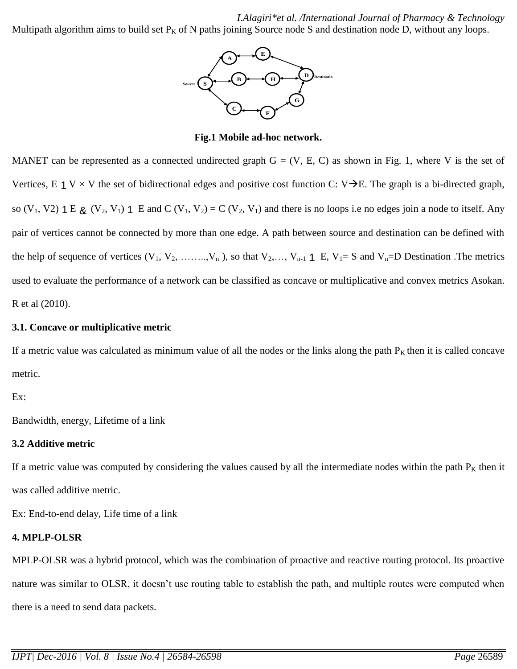*I.Alagiri\*et al. /International Journal of Pharmacy & Technology*

Multipath algorithm aims to build set  $P_K$  of N paths joining Source node S and destination node D, without any loops.



**Fig.1 Mobile ad-hoc network.**

MANET can be represented as a connected undirected graph  $G = (V, E, C)$  as shown in Fig. 1, where V is the set of Vertices, E 1 V  $\times$  V the set of bidirectional edges and positive cost function C: V $\rightarrow$ E. The graph is a bi-directed graph, so  $(V_1, V_2)$  1 E  $\chi$   $(V_2, V_1)$  1 E and C  $(V_1, V_2) = C (V_2, V_1)$  and there is no loops i.e no edges join a node to itself. Any pair of vertices cannot be connected by more than one edge. A path between source and destination can be defined with the help of sequence of vertices  $(V_1, V_2, \ldots, V_n)$ , so that  $V_2, \ldots, V_{n-1}$  1 E,  $V_1 = S$  and  $V_n = D$  Destination. The metrics used to evaluate the performance of a network can be classified as concave or multiplicative and convex metrics Asokan. R et al (2010).

### **3.1. Concave or multiplicative metric**

If a metric value was calculated as minimum value of all the nodes or the links along the path  $P<sub>K</sub>$  then it is called concave metric.

Ex:

Bandwidth, energy, Lifetime of a link

## **3.2 Additive metric**

If a metric value was computed by considering the values caused by all the intermediate nodes within the path  $P<sub>K</sub>$  then it was called additive metric.

Ex: End-to-end delay, Life time of a link

## **4. MPLP-OLSR**

MPLP-OLSR was a hybrid protocol, which was the combination of proactive and reactive routing protocol. Its proactive nature was similar to OLSR, it doesn't use routing table to establish the path, and multiple routes were computed when there is a need to send data packets.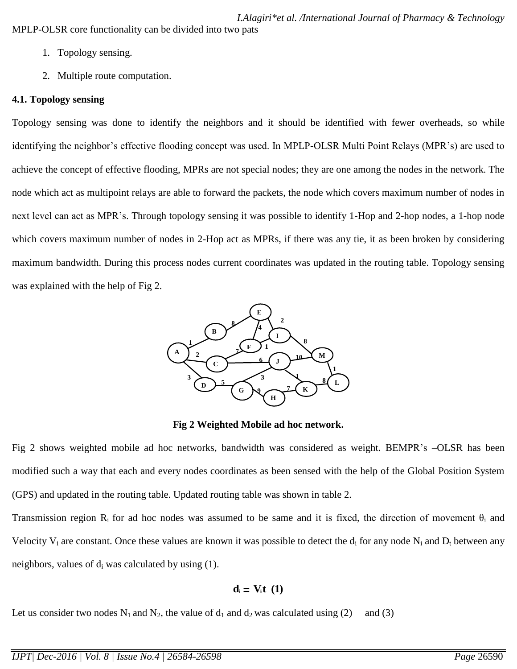- 1. Topology sensing.
- 2. Multiple route computation.

## **4.1. Topology sensing**

Topology sensing was done to identify the neighbors and it should be identified with fewer overheads, so while identifying the neighbor's effective flooding concept was used. In MPLP-OLSR Multi Point Relays (MPR's) are used to achieve the concept of effective flooding, MPRs are not special nodes; they are one among the nodes in the network. The node which act as multipoint relays are able to forward the packets, the node which covers maximum number of nodes in next level can act as MPR's. Through topology sensing it was possible to identify 1-Hop and 2-hop nodes, a 1-hop node which covers maximum number of nodes in 2-Hop act as MPRs, if there was any tie, it as been broken by considering maximum bandwidth. During this process nodes current coordinates was updated in the routing table. Topology sensing was explained with the help of Fig 2.



## **Fig 2 Weighted Mobile ad hoc network.**

Fig 2 shows weighted mobile ad hoc networks, bandwidth was considered as weight. BEMPR's –OLSR has been modified such a way that each and every nodes coordinates as been sensed with the help of the Global Position System (GPS) and updated in the routing table. Updated routing table was shown in table 2.

Transmission region  $R_i$  for ad hoc nodes was assumed to be same and it is fixed, the direction of movement  $\theta_i$  and Velocity  $V_i$  are constant. Once these values are known it was possible to detect the  $d_i$  for any node  $N_i$  and  $D_i$  between any neighbors, values of  $d_i$  was calculated by using (1).

$$
d_i \equiv V_i t \ (1)
$$

Let us consider two nodes  $N_1$  and  $N_2$ , the value of  $d_1$  and  $d_2$  was calculated using (2) and (3)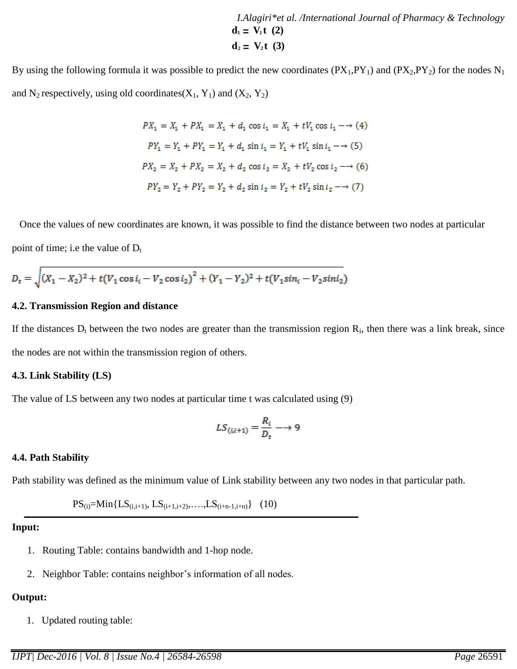*I.Alagiri\*et al. /International Journal of Pharmacy & Technology*  $d_1 = V_1 t$  (2)  $d_2 = V_2 t$  (3)

By using the following formula it was possible to predict the new coordinates  $(PX_1, PY_1)$  and  $(PX_2, PY_2)$  for the nodes N<sub>1</sub> and N<sub>2</sub> respectively, using old coordinates( $X_1$ ,  $Y_1$ ) and ( $X_2$ ,  $Y_2$ )

$$
PX_1 = X_1 + PX_1 = X_1 + d_1 \cos t_1 = X_1 + tV_1 \cos t_1 \rightarrow (4)
$$
  
\n
$$
PY_1 = Y_1 + PY_1 = Y_1 + d_1 \sin t_1 = Y_1 + tV_1 \sin t_1 \rightarrow (5)
$$
  
\n
$$
PX_2 = X_2 + PX_2 = X_2 + d_2 \cos t_2 = X_2 + tV_2 \cos t_2 \rightarrow (6)
$$
  
\n
$$
PY_2 = Y_2 + PY_2 = Y_2 + d_2 \sin t_2 = Y_2 + tV_2 \sin t_2 \rightarrow (7)
$$

 Once the values of new coordinates are known, it was possible to find the distance between two nodes at particular point of time; i.e the value of  $D_t$ 

$$
D_t = \sqrt{(X_1 - X_2)^2 + t(V_1 \cos i_1 - V_2 \cos i_2)^2 + (Y_1 - Y_2)^2 + t(V_1 \sin i_1 - V_2 \sin i_2)}
$$

#### **4.2. Transmission Region and distance**

If the distances  $D_t$  between the two nodes are greater than the transmission region  $R_i$ , then there was a link break, since the nodes are not within the transmission region of others.

#### **4.3. Link Stability (LS)**

The value of LS between any two nodes at particular time t was calculated using (9)

$$
LS_{(i,i+1)} = \frac{R_i}{D_t} \longrightarrow 9
$$

#### **4.4. Path Stability**

Path stability was defined as the minimum value of Link stability between any two nodes in that particular path.

 $PS_{(i)}=Min{LS_{(i,i+1)}, LS_{(i+1,i+2)}, \ldots, LS_{(i+n-1,i+n)}}$  (10)

#### **Input:**

- 1. Routing Table: contains bandwidth and 1-hop node.
- 2. Neighbor Table: contains neighbor's information of all nodes.

#### **Output:**

1. Updated routing table: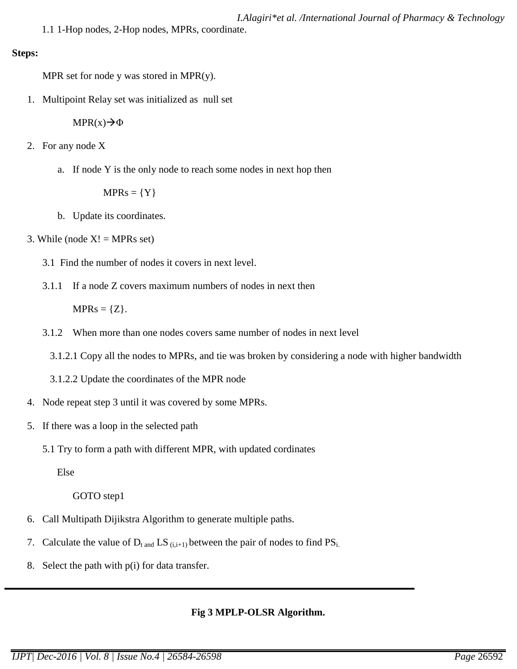1.1 1-Hop nodes, 2-Hop nodes, MPRs, coordinate.

#### **Steps:**

MPR set for node y was stored in MPR $(y)$ .

1. Multipoint Relay set was initialized as null set

 $MPR(x) \rightarrow \Phi$ 

- 2. For any node X
	- a. If node Y is the only node to reach some nodes in next hop then

 $MPRs = \{Y\}$ 

- b. Update its coordinates.
- 3. While (node  $X! = MPRs$  set)
	- 3.1 Find the number of nodes it covers in next level.
	- 3.1.1 If a node Z covers maximum numbers of nodes in next then

 $MPRs = \{Z\}.$ 

- 3.1.2 When more than one nodes covers same number of nodes in next level
	- 3.1.2.1 Copy all the nodes to MPRs, and tie was broken by considering a node with higher bandwidth
	- 3.1.2.2 Update the coordinates of the MPR node
- 4. Node repeat step 3 until it was covered by some MPRs.
- 5. If there was a loop in the selected path
	- 5.1 Try to form a path with different MPR, with updated cordinates

Else

## GOTO step1

- 6. Call Multipath Dijikstra Algorithm to generate multiple paths.
- 7. Calculate the value of  $D_{t \text{ and }} LS_{(i,i+1)}$  between the pair of nodes to find  $PS_{i.}$
- 8. Select the path with  $p(i)$  for data transfer.

# **Fig 3 MPLP-OLSR Algorithm.**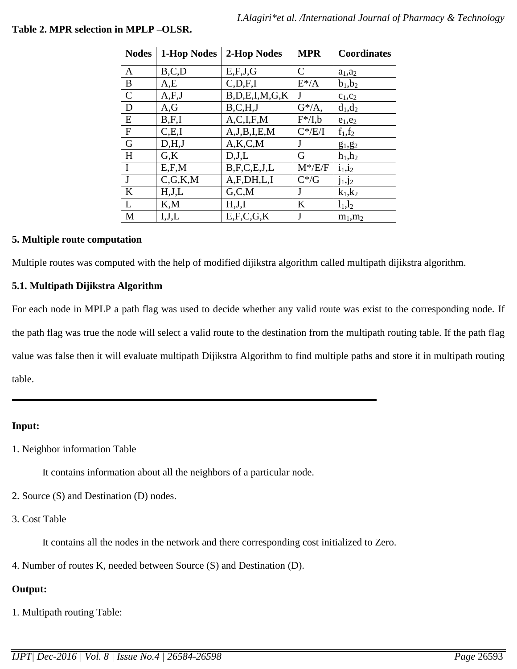| <b>Nodes</b> | 1-Hop Nodes   | 2-Hop Nodes         | <b>MPR</b>   | <b>Coordinates</b> |
|--------------|---------------|---------------------|--------------|--------------------|
| A            | B, C, D       | E, F, J, G          | $\mathsf{C}$ | $a_1$ , $a_2$      |
| B            | A,E           | C, D, F, I          | $E^* / A$    | $b_1, b_2$         |
| $\mathsf{C}$ | A, F, J       | B, D, E, I, M, G, K |              | $c_1,c_2$          |
| D            | A,G           | B, C, H, J          | $G^*/A$ ,    | $d_1, d_2$         |
| E            | B,F,I         | A, C, I, F, M       | $F^*/I,b$    | $e_1,e_2$          |
| $\mathbf{F}$ | C.E.I         | A, J, B, I, E, M    | $C^*/E/I$    | $f_1, f_2$         |
| G            | D,H,J         | A, K, C, M          | J            | $g_1, g_2$         |
| H            | $G_{\rm A}$ K | D, J, L             | G            | $h_1,h_2$          |
| I            | E, F, M       | B, F, C, E, J, L    | $M^*/E/F$    | $i_1, i_2$         |
| J            | C, G, K, M    | A, F, DH, L, I      | $C^*/G$      | $j_1, j_2$         |
| K            | H,J,L         | G.C.M               | J            | $k_1,k_2$          |
| L            | K, M          | H,J,I               | K            | $l_1, l_2$         |
| M            | I,J,L         | E, F, C, G, K       | J            | $m_1, m_2$         |

## **Table 2. MPR selection in MPLP –OLSR.**

### **5. Multiple route computation**

Multiple routes was computed with the help of modified dijikstra algorithm called multipath dijikstra algorithm.

## **5.1. Multipath Dijikstra Algorithm**

For each node in MPLP a path flag was used to decide whether any valid route was exist to the corresponding node. If the path flag was true the node will select a valid route to the destination from the multipath routing table. If the path flag value was false then it will evaluate multipath Dijikstra Algorithm to find multiple paths and store it in multipath routing table.

## **Input:**

1. Neighbor information Table

It contains information about all the neighbors of a particular node.

- 2. Source (S) and Destination (D) nodes.
- 3. Cost Table

It contains all the nodes in the network and there corresponding cost initialized to Zero.

4. Number of routes K, needed between Source (S) and Destination (D).

## **Output:**

1. Multipath routing Table: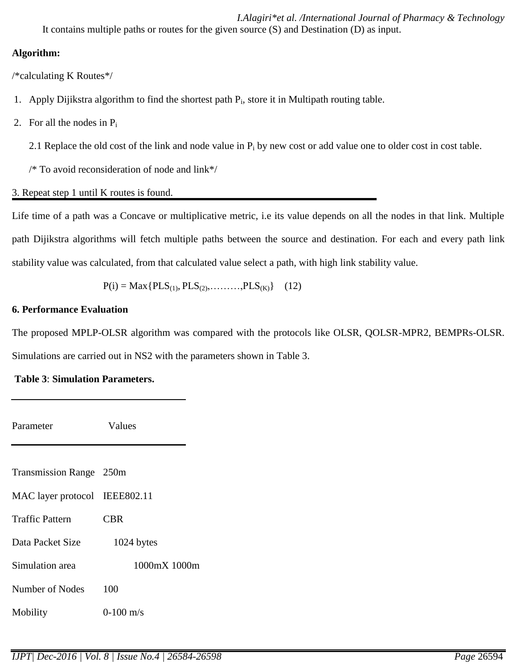*I.Alagiri\*et al. /International Journal of Pharmacy & Technology* It contains multiple paths or routes for the given source (S) and Destination (D) as input.

## **Algorithm:**

/\*calculating K Routes\*/

- 1. Apply Dijikstra algorithm to find the shortest path P<sub>i</sub>, store it in Multipath routing table.
- 2. For all the nodes in  $P_i$

2.1 Replace the old cost of the link and node value in  $P_i$  by new cost or add value one to older cost in cost table.

/\* To avoid reconsideration of node and link\*/

3. Repeat step 1 until K routes is found.

Life time of a path was a Concave or multiplicative metric, i.e its value depends on all the nodes in that link. Multiple path Dijikstra algorithms will fetch multiple paths between the source and destination. For each and every path link stability value was calculated, from that calculated value select a path, with high link stability value.

 $P(i) = Max\{PLS_{(1)}, PLS_{(2)}, \ldots, PLS_{(K)}\}$  (12)

# **6. Performance Evaluation**

The proposed MPLP-OLSR algorithm was compared with the protocols like OLSR, QOLSR-MPR2, BEMPRs-OLSR. Simulations are carried out in NS2 with the parameters shown in Table 3.

# **Table 3**: **Simulation Parameters.**

Parameter **Values** Transmission Range 250m MAC layer protocol IEEE802.11 Traffic Pattern CBR Data Packet Size 1024 bytes Simulation area 1000mX 1000m Number of Nodes 100 Mobility 0-100 m/s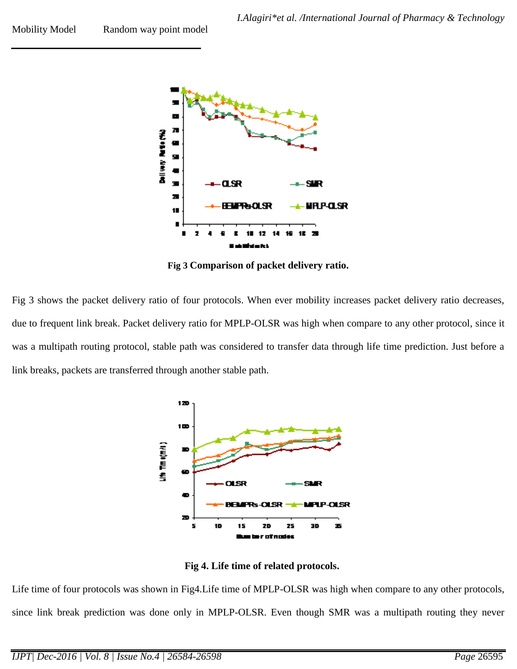Mobility Model Random way point model



**Fig 3 Comparison of packet delivery ratio.**

Fig 3 shows the packet delivery ratio of four protocols. When ever mobility increases packet delivery ratio decreases, due to frequent link break. Packet delivery ratio for MPLP-OLSR was high when compare to any other protocol, since it was a multipath routing protocol, stable path was considered to transfer data through life time prediction. Just before a link breaks, packets are transferred through another stable path.



**Fig 4. Life time of related protocols.**

Life time of four protocols was shown in Fig4.Life time of MPLP-OLSR was high when compare to any other protocols, since link break prediction was done only in MPLP-OLSR. Even though SMR was a multipath routing they never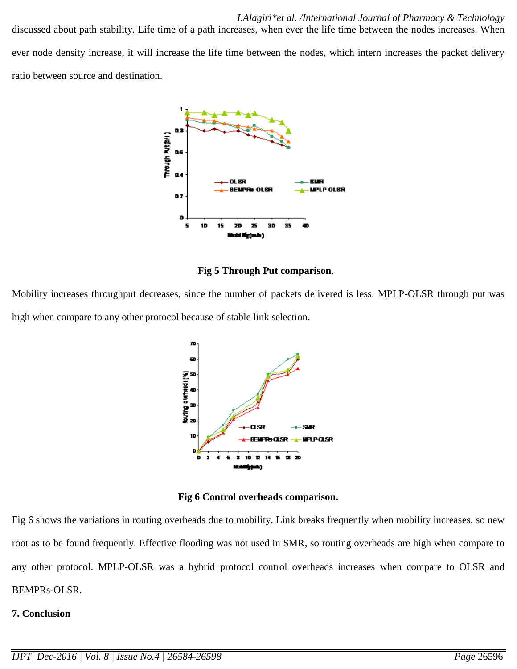discussed about path stability. Life time of a path increases, when ever the life time between the nodes increases. When ever node density increase, it will increase the life time between the nodes, which intern increases the packet delivery ratio between source and destination.



**Fig 5 Through Put comparison.**

Mobility increases throughput decreases, since the number of packets delivered is less. MPLP-OLSR through put was high when compare to any other protocol because of stable link selection.



**Fig 6 Control overheads comparison.**

Fig 6 shows the variations in routing overheads due to mobility. Link breaks frequently when mobility increases, so new root as to be found frequently. Effective flooding was not used in SMR, so routing overheads are high when compare to any other protocol. MPLP-OLSR was a hybrid protocol control overheads increases when compare to OLSR and BEMPRs-OLSR.

# **7. Conclusion**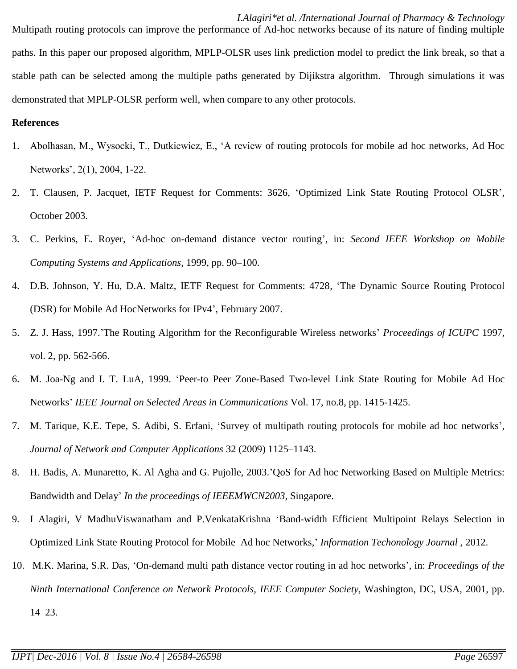*I.Alagiri\*et al. /International Journal of Pharmacy & Technology* Multipath routing protocols can improve the performance of Ad-hoc networks because of its nature of finding multiple paths. In this paper our proposed algorithm, MPLP-OLSR uses link prediction model to predict the link break, so that a stable path can be selected among the multiple paths generated by Dijikstra algorithm. Through simulations it was demonstrated that MPLP-OLSR perform well, when compare to any other protocols.

#### **References**

- 1. Abolhasan, M., Wysocki, T., Dutkiewicz, E., 'A review of routing protocols for mobile ad hoc networks, Ad Hoc Networks', 2(1), 2004, 1-22.
- 2. T. Clausen, P. Jacquet, IETF Request for Comments: 3626, 'Optimized Link State Routing Protocol OLSR', October 2003.
- 3. C. Perkins, E. Royer, 'Ad-hoc on-demand distance vector routing', in: *Second IEEE Workshop on Mobile Computing Systems and Applications,* 1999, pp. 90–100.
- 4. D.B. Johnson, Y. Hu, D.A. Maltz, IETF Request for Comments: 4728, 'The Dynamic Source Routing Protocol (DSR) for Mobile Ad HocNetworks for IPv4', February 2007.
- 5. Z. J. Hass, 1997.'The Routing Algorithm for the Reconfigurable Wireless networks' *Proceedings of ICUPC* 1997, vol. 2, pp. 562-566.
- 6. M. Joa-Ng and I. T. LuA, 1999. 'Peer-to Peer Zone-Based Two-level Link State Routing for Mobile Ad Hoc Networks' *IEEE Journal on Selected Areas in Communications* Vol. 17, no.8, pp. 1415-1425.
- 7. M. Tarique, K.E. Tepe, S. Adibi, S. Erfani, 'Survey of multipath routing protocols for mobile ad hoc networks', *Journal of Network and Computer Applications* 32 (2009) 1125–1143.
- 8. H. Badis, A. Munaretto, K. Al Agha and G. Pujolle, 2003.'QoS for Ad hoc Networking Based on Multiple Metrics: Bandwidth and Delay' *In the proceedings of IEEEMWCN2003,* Singapore.
- 9. I Alagiri, V MadhuViswanatham and P.VenkataKrishna 'Band-width Efficient Multipoint Relays Selection in Optimized Link State Routing Protocol for Mobile Ad hoc Networks,' *Information Techonology Journal ,* 2012.
- 10. M.K. Marina, S.R. Das, 'On-demand multi path distance vector routing in ad hoc networks', in: *Proceedings of the Ninth International Conference on Network Protocols, IEEE Computer Society,* Washington, DC, USA, 2001, pp. 14–23.